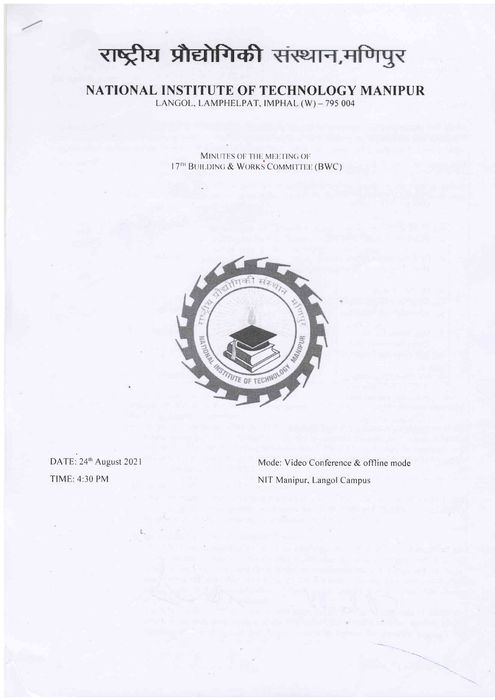## राष्ट्रीय प्रौद्योगिकी संस्थान,मणिपुर

NATIONAL INSTITUTE OF TECHNOLOGY MANIPUR LANGOL, LAMPHELPAT, IMPHAL (W) - 795 004

MINUTES OF THE MEETING OF<br>17<sup>fh</sup> BUILDING & WORKS COMMITTEE (BWC)



DATE: 24<sup>th</sup> August 2021 **TIME: 4:30 PM** 

Mode: Video Conference & offline mode NIT Manipur, Langol Campus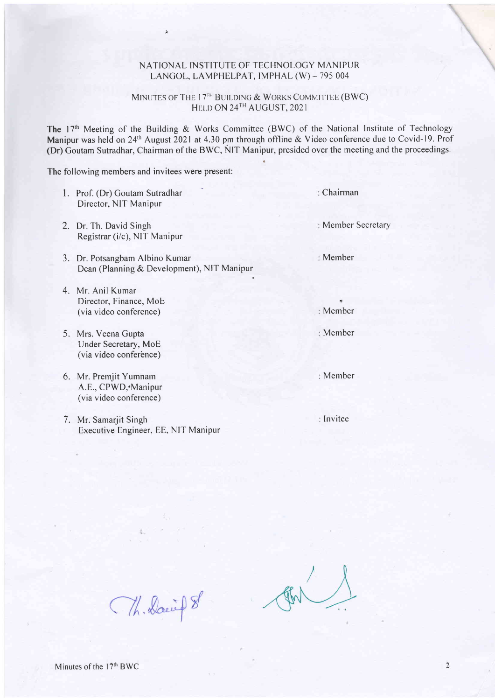## NATIONAL INSTITUTE OF TECHNOLOGY MANIPUR LANGOL, LAMPHELPAT, IMPHAL (W) - 795 004

## MINUTES OF THE 17<sup>TH</sup> BUILDING & WORKS COMMITTEE (BWC) HELD ON 24TH AUGUST, 2021

The  $17<sup>th</sup>$  Meeting of the Building & Works Committee (BWC) of the National Institute of Technology Manipur was held on 24<sup>th</sup> August 2021 at 4.30 pm through offline & Video conference due to Covid-19. Prof (Dr) Goutam Sutradhar, Chairman of the BWC, NIT Manipur, presided over the meeting and the proceedings.

The following members and invitees were present:

- 1. Prof. (Dr) Goutam Sutradhar 2. Dr. Th. David Singh J. Dr. Potsangbam Albino Kumar Director, NIT Manipur Registrar (i/c), NIT Manipur Dean (Planning & Development), NIT Manipur Mr. Anil Kumar 4. Director, Finance, MoE (via video conference) 5. Mrs. Veena Gupta Chairman Member Secretary Member Member Member
	- Under Secretary, MoE (via video conference)
	- 6. Mr. Premjit Yumnan A.E., CPWD,'Manipur (via video conference)
	- 7. Mr. Samarjit Singh Executive Engineer, EE, NIT Manipur

lnvitee

Member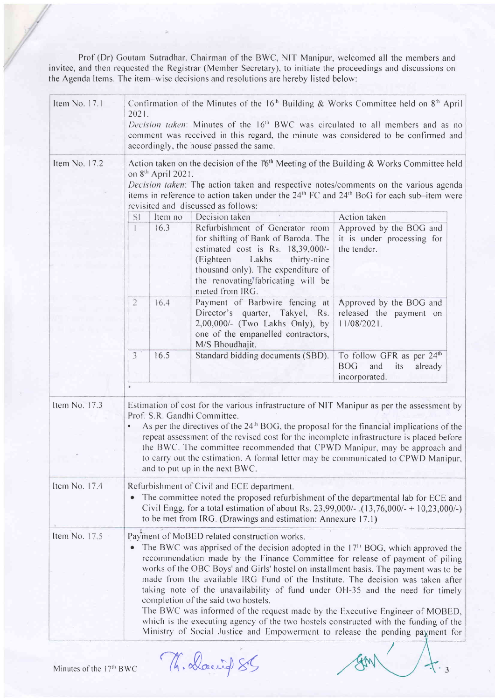Prof (Dr) Goutam Sutradhar, Chairman of the BWC, NIT Manipur, welcomed all the members and invitee, and then requested the Registrar (Member Secretary), to initiate the proceedings and discussions on the Agenda Items. The item-wise decisions and resolutions are hereby listed below:

| Item No. 17.1 | Confirmation of the Minutes of the $16th$ Building & Works Committee held on $8th$ April<br>2021.<br><i>Decision taken:</i> Minutes of the 16 <sup>th</sup> BWC was circulated to all members and as no<br>comment was received in this regard, the minute was considered to be confirmed and<br>accordingly, the house passed the same.                                                                                                                                                                                                                                                                                                                                                                                                                                        |         |                                                                                                                                                                                                                                                                                                                                                                                                                                                                                                                                    |                                                                                               |  |
|---------------|---------------------------------------------------------------------------------------------------------------------------------------------------------------------------------------------------------------------------------------------------------------------------------------------------------------------------------------------------------------------------------------------------------------------------------------------------------------------------------------------------------------------------------------------------------------------------------------------------------------------------------------------------------------------------------------------------------------------------------------------------------------------------------|---------|------------------------------------------------------------------------------------------------------------------------------------------------------------------------------------------------------------------------------------------------------------------------------------------------------------------------------------------------------------------------------------------------------------------------------------------------------------------------------------------------------------------------------------|-----------------------------------------------------------------------------------------------|--|
| Item No. 17.2 | Action taken on the decision of the 16 <sup>th</sup> Meeting of the Building & Works Committee held<br>on 8 <sup>th</sup> April 2021.<br>Decision taken: The action taken and respective notes/comments on the various agenda<br>items in reference to action taken under the $24th$ FC and $24th$ BoG for each sub-item were<br>revisited and discussed as follows:                                                                                                                                                                                                                                                                                                                                                                                                            |         |                                                                                                                                                                                                                                                                                                                                                                                                                                                                                                                                    |                                                                                               |  |
|               | SI                                                                                                                                                                                                                                                                                                                                                                                                                                                                                                                                                                                                                                                                                                                                                                              | Item no | Decision taken                                                                                                                                                                                                                                                                                                                                                                                                                                                                                                                     | Action taken                                                                                  |  |
|               |                                                                                                                                                                                                                                                                                                                                                                                                                                                                                                                                                                                                                                                                                                                                                                                 | 16.3    | Refurbishment of Generator room<br>for shifting of Bank of Baroda. The<br>estimated cost is Rs. 18,39,000/-<br>(Eighteen)<br>Lakhs<br>thirty-nine<br>thousand only). The expenditure of<br>the renovating/fabricating will be<br>meted from IRG.                                                                                                                                                                                                                                                                                   | Approved by the BOG and<br>it is under processing for<br>the tender.                          |  |
|               | $\overline{c}$                                                                                                                                                                                                                                                                                                                                                                                                                                                                                                                                                                                                                                                                                                                                                                  | 16.4    | Payment of Barbwire fencing at<br>Director's quarter, Takyel, Rs.<br>2,00,000/- (Two Lakhs Only), by<br>one of the empanelled contractors,<br>M/S Bhoudhajit.                                                                                                                                                                                                                                                                                                                                                                      | Approved by the BOG and<br>released the payment on<br>$11/08/2021$ .                          |  |
|               | 3                                                                                                                                                                                                                                                                                                                                                                                                                                                                                                                                                                                                                                                                                                                                                                               | 16.5    | Standard bidding documents (SBD).                                                                                                                                                                                                                                                                                                                                                                                                                                                                                                  | To follow GFR as per 24 <sup>th</sup><br><b>BOG</b><br>and<br>its<br>already<br>incorporated. |  |
| Item No. 17.3 |                                                                                                                                                                                                                                                                                                                                                                                                                                                                                                                                                                                                                                                                                                                                                                                 |         | Estimation of cost for the various infrastructure of NIT Manipur as per the assessment by<br>Prof. S.R. Gandhi Committee.<br>As per the directives of the 24 <sup>th</sup> BOG, the proposal for the financial implications of the<br>repeat assessment of the revised cost for the incomplete infrastructure is placed before<br>the BWC. The committee recommended that CPWD Manipur, may be approach and<br>to carry out the estimation. A formal letter may be communicated to CPWD Manipur,<br>and to put up in the next BWC. |                                                                                               |  |
| Item No. 17.4 | Refurbishment of Civil and ECE department.<br>The committee noted the proposed refurbishment of the departmental lab for ECE and<br>Civil Engg. for a total estimation of about Rs. 23,99,000/- $(13,76,000/-10,23,000/-)$<br>to be met from IRG. (Drawings and estimation: Annexure 17.1)                                                                                                                                                                                                                                                                                                                                                                                                                                                                                      |         |                                                                                                                                                                                                                                                                                                                                                                                                                                                                                                                                    |                                                                                               |  |
| Item No. 17.5 | Payment of MoBED related construction works.<br>The BWC was apprised of the decision adopted in the $17th$ BOG, which approved the<br>recommendation made by the Finance Committee for release of payment of piling<br>works of the OBC Boys' and Girls' hostel on installment basis. The payment was to be<br>made from the available IRG Fund of the Institute. The decision was taken after<br>taking note of the unavailability of fund under OH-35 and the need for timely<br>completion of the said two hostels.<br>The BWC was informed of the request made by the Executive Engineer of MOBED,<br>which is the executing agency of the two hostels constructed with the funding of the<br>Ministry of Social Justice and Empowerment to release the pending payment for |         |                                                                                                                                                                                                                                                                                                                                                                                                                                                                                                                                    |                                                                                               |  |

/

Minutes of the 17<sup>th</sup> BWC 74. Doctif 85

 $gm\left(\right)$  / +.